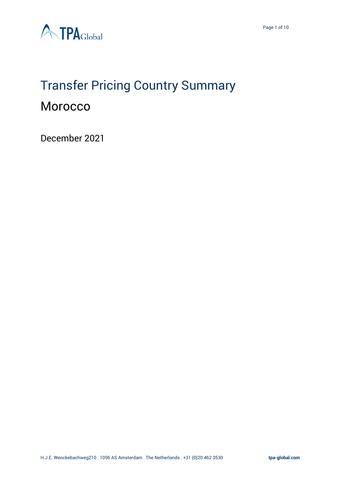

## Transfer Pricing Country Summary **Morocco**

December 2021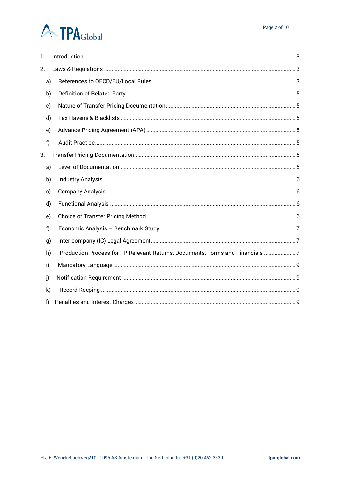# **A TPA**Global

| 1. |                                                                               |  |
|----|-------------------------------------------------------------------------------|--|
| 2. |                                                                               |  |
| a) |                                                                               |  |
| b) |                                                                               |  |
| c) |                                                                               |  |
| d) |                                                                               |  |
| e) |                                                                               |  |
| f) |                                                                               |  |
| 3. |                                                                               |  |
| a) |                                                                               |  |
| b) |                                                                               |  |
| c) |                                                                               |  |
| d) |                                                                               |  |
| e) |                                                                               |  |
| f  |                                                                               |  |
| g) |                                                                               |  |
| h) | Production Process for TP Relevant Returns, Documents, Forms and Financials 7 |  |
| i) |                                                                               |  |
| j) |                                                                               |  |
| k) |                                                                               |  |
| I) |                                                                               |  |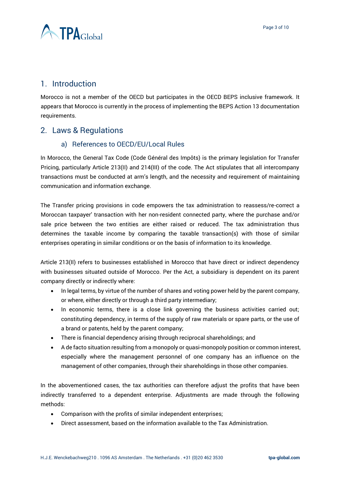

## <span id="page-2-0"></span>1. Introduction

Morocco is not a member of the OECD but participates in the OECD BEPS inclusive framework. It appears that Morocco is currently in the process of implementing the BEPS Action 13 documentation requirements.

## <span id="page-2-2"></span><span id="page-2-1"></span>2. Laws & Regulations

#### a) References to OECD/EU/Local Rules

In Morocco, the General Tax Code (Code Général des Impôts) is the primary legislation for Transfer Pricing, particularly Article 213(II) and 214(III) of the code. The Act stipulates that all intercompany transactions must be conducted at arm's length, and the necessity and requirement of maintaining communication and information exchange.

The Transfer pricing provisions in code empowers the tax administration to reassess/re-correct a Moroccan taxpayer' transaction with her non-resident connected party, where the purchase and/or sale price between the two entities are either raised or reduced. The tax administration thus determines the taxable income by comparing the taxable transaction(s) with those of similar enterprises operating in similar conditions or on the basis of information to its knowledge.

Article 213(II) refers to businesses established in Morocco that have direct or indirect dependency with businesses situated outside of Morocco. Per the Act, a subsidiary is dependent on its parent company directly or indirectly where:

- In legal terms, by virtue of the number of shares and voting power held by the parent company, or where, either directly or through a third party intermediary;
- In economic terms, there is a close link governing the business activities carried out; constituting dependency, in terms of the supply of raw materials or spare parts, or the use of a brand or patents, held by the parent company;
- There is financial dependency arising through reciprocal shareholdings; and
- A de facto situation resulting from a monopoly or quasi-monopoly position or common interest, especially where the management personnel of one company has an influence on the management of other companies, through their shareholdings in those other companies.

In the abovementioned cases, the tax authorities can therefore adjust the profits that have been indirectly transferred to a dependent enterprise. Adjustments are made through the following methods:

- Comparison with the profits of similar independent enterprises;
- Direct assessment, based on the information available to the Tax Administration.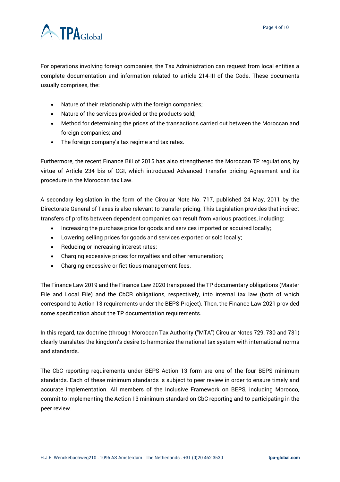

For operations involving foreign companies, the Tax Administration can request from local entities a complete documentation and information related to article 214-III of the Code. These documents usually comprises, the:

- Nature of their relationship with the foreign companies;
- Nature of the services provided or the products sold;
- Method for determining the prices of the transactions carried out between the Moroccan and foreign companies; and
- The foreign company's tax regime and tax rates.

Furthermore, the recent Finance Bill of 2015 has also strengthened the Moroccan TP regulations, by virtue of Article 234 bis of CGI, which introduced Advanced Transfer pricing Agreement and its procedure in the Moroccan tax Law.

A secondary legislation in the form of the Circular Note No. 717, published 24 May, 2011 by the Directorate General of Taxes is also relevant to transfer pricing. This Legislation provides that indirect transfers of profits between dependent companies can result from various practices, including:

- Increasing the purchase price for goods and services imported or acquired locally;.
- Lowering selling prices for goods and services exported or sold locally;
- Reducing or increasing interest rates;
- Charging excessive prices for royalties and other remuneration;
- Charging excessive or fictitious management fees.

The Finance Law 2019 and the Finance Law 2020 transposed the TP documentary obligations (Master File and Local File) and the CbCR obligations, respectively, into internal tax law (both of which correspond to Action 13 requirements under the BEPS Project). Then, the Finance Law 2021 provided some specification about the TP documentation requirements.

In this regard, tax doctrine (through Moroccan Tax Authority ("MTA") Circular Notes 729, 730 and 731) clearly translates the kingdom's desire to harmonize the national tax system with international norms and standards.

The CbC reporting requirements under BEPS Action 13 form are one of the four BEPS minimum standards. Each of these minimum standards is subject to peer review in order to ensure timely and accurate implementation. All members of the Inclusive Framework on BEPS, including Morocco, commit to implementing the Action 13 minimum standard on CbC reporting and to participating in the peer review.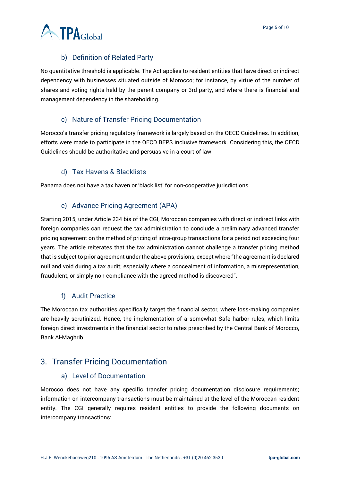

### b) Definition of Related Party

<span id="page-4-0"></span>No quantitative threshold is applicable. The Act applies to resident entities that have direct or indirect dependency with businesses situated outside of Morocco; for instance, by virtue of the number of shares and voting rights held by the parent company or 3rd party, and where there is financial and management dependency in the shareholding.

#### c) Nature of Transfer Pricing Documentation

<span id="page-4-1"></span>Morocco's transfer pricing regulatory framework is largely based on the OECD Guidelines. In addition, efforts were made to participate in the OECD BEPS inclusive framework. Considering this, the OECD Guidelines should be authoritative and persuasive in a court of law.

#### d) Tax Havens & Blacklists

<span id="page-4-2"></span>Panama does not have a tax haven or 'black list' for non-cooperative jurisdictions.

#### e) Advance Pricing Agreement (APA)

<span id="page-4-3"></span>Starting 2015, under Article 234 bis of the CGI, Moroccan companies with direct or indirect links with foreign companies can request the tax administration to conclude a preliminary advanced transfer pricing agreement on the method of pricing of intra-group transactions for a period not exceeding four years. The article reiterates that the tax administration cannot challenge a transfer pricing method that is subject to prior agreement under the above provisions, except where "the agreement is declared null and void during a tax audit; especially where a concealment of information, a misrepresentation, fraudulent, or simply non-compliance with the agreed method is discovered".

#### f) Audit Practice

<span id="page-4-4"></span>The Moroccan tax authorities specifically target the financial sector, where loss-making companies are heavily scrutinized. Hence, the implementation of a somewhat Safe harbor rules, which limits foreign direct investments in the financial sector to rates prescribed by the Central Bank of Morocco, Bank Al-Maghrib.

## <span id="page-4-6"></span><span id="page-4-5"></span>3. Transfer Pricing Documentation

#### a) Level of Documentation

Morocco does not have any specific transfer pricing documentation disclosure requirements; information on intercompany transactions must be maintained at the level of the Moroccan resident entity. The CGI generally requires resident entities to provide the following documents on intercompany transactions: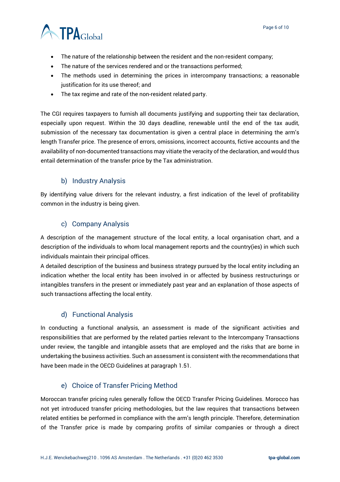

- The nature of the relationship between the resident and the non-resident company;
- The nature of the services rendered and or the transactions performed;
- The methods used in determining the prices in intercompany transactions; a reasonable justification for its use thereof; and
- The tax regime and rate of the non-resident related party.

The CGI requires taxpayers to furnish all documents justifying and supporting their tax declaration, especially upon request. Within the 30 days deadline, renewable until the end of the tax audit, submission of the necessary tax documentation is given a central place in determining the arm's length Transfer price. The presence of errors, omissions, incorrect accounts, fictive accounts and the availability of non-documented transactions may vitiate the veracity of the declaration, and would thus entail determination of the transfer price by the Tax administration.

#### b) Industry Analysis

<span id="page-5-0"></span>By identifying value drivers for the relevant industry, a first indication of the level of profitability common in the industry is being given.

#### c) Company Analysis

<span id="page-5-1"></span>A description of the management structure of the local entity, a local organisation chart, and a description of the individuals to whom local management reports and the country(ies) in which such individuals maintain their principal offices.

A detailed description of the business and business strategy pursued by the local entity including an indication whether the local entity has been involved in or affected by business restructurings or intangibles transfers in the present or immediately past year and an explanation of those aspects of such transactions affecting the local entity.

#### d) Functional Analysis

<span id="page-5-2"></span>In conducting a functional analysis, an assessment is made of the significant activities and responsibilities that are performed by the related parties relevant to the Intercompany Transactions under review, the tangible and intangible assets that are employed and the risks that are borne in undertaking the business activities. Such an assessment is consistent with the recommendations that have been made in the OECD Guidelines at paragraph 1.51.

#### e) Choice of Transfer Pricing Method

<span id="page-5-3"></span>Moroccan transfer pricing rules generally follow the OECD Transfer Pricing Guidelines. Morocco has not yet introduced transfer pricing methodologies, but the law requires that transactions between related entities be performed in compliance with the arm's length principle. Therefore, determination of the Transfer price is made by comparing profits of similar companies or through a direct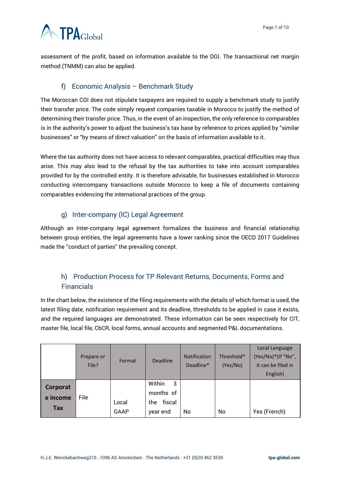## **A TPA**Global

assessment of the profit, based on information available to the DGI. The transactional net margin method (TNMM) can also be applied.

## f) Economic Analysis – Benchmark Study

<span id="page-6-0"></span>The Moroccan CGI does not stipulate taxpayers are required to supply a benchmark study to justify their transfer price. The code simply request companies taxable in Morocco to justify the method of determining their transfer price. Thus, in the event of an inspection, the only reference to comparables is in the authority's power to adjust the business's tax base by reference to prices applied by "similar businesses" or "by means of direct valuation" on the basis of information available to it.

Where the tax authority does not have access to relevant comparables, practical difficulties may thus arise. This may also lead to the refusal by the tax authorities to take into account comparables provided for by the controlled entity. It is therefore advisable, for businesses established in Morocco conducting intercompany transactions outside Morocco to keep a file of documents containing comparables evidencing the international practices of the group.

## g) Inter-company (IC) Legal Agreement

<span id="page-6-1"></span>Although an Inter-company legal agreement formalizes the business and financial relationship between group entities, the legal agreements have a lower ranking since the OECD 2017 Guidelines made the ''conduct of parties'' the prevailing concept.

## <span id="page-6-2"></span>h) Production Process for TP Relevant Returns, Documents, Forms and Financials

In the chart below, the existence of the filing requirements with the details of which format is used, the latest filing date, notification requirement and its deadline, thresholds to be applied in case it exists, and the required languages are demonstrated. These information can be seen respectively for CIT, master file, local file, CbCR, local forms, annual accounts and segmented P&L documentations.

|                             | Prepare or<br>File? | Format        | Deadline                                               | <b>Notification</b><br>Deadline* | Threshold*<br>(Yes/No) | Local Language<br>(Yes/No)*(If "No",<br>it can be filed in<br>English) |
|-----------------------------|---------------------|---------------|--------------------------------------------------------|----------------------------------|------------------------|------------------------------------------------------------------------|
| Corporat<br>e Income<br>Tax | File                | Local<br>GAAP | Within<br>-3<br>months of<br>fiscal<br>the<br>year end | No.                              | No                     | Yes (French)                                                           |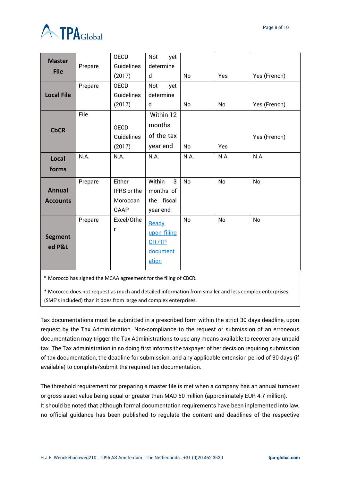

| <b>Master</b>     |         | <b>OECD</b>          | Not<br>yet     |           |            |              |
|-------------------|---------|----------------------|----------------|-----------|------------|--------------|
| <b>File</b>       | Prepare | Guidelines<br>(2017) | determine<br>d | No        | <b>Yes</b> | Yes (French) |
|                   | Prepare | <b>OECD</b>          | Not<br>yet     |           |            |              |
| <b>Local File</b> |         | Guidelines           | determine      |           |            |              |
|                   |         | (2017)               | d              | No        | No         | Yes (French) |
|                   | File    |                      | Within 12      |           |            |              |
| <b>CbCR</b>       |         | <b>OECD</b>          | months         |           |            |              |
|                   |         | Guidelines           | of the tax     |           |            | Yes (French) |
|                   |         | (2017)               | year end       | No        | Yes        |              |
| <b>Local</b>      | N.A.    | N.A.                 | N.A.           | N.A.      | N.A.       | N.A.         |
| forms             |         |                      |                |           |            |              |
|                   | Prepare | Either               | Within<br>3    | <b>No</b> | <b>No</b>  | <b>No</b>    |
| <b>Annual</b>     |         | IFRS or the          | months of      |           |            |              |
| <b>Accounts</b>   |         | Moroccan             | the fiscal     |           |            |              |
|                   |         | <b>GAAP</b>          | year end       |           |            |              |
|                   | Prepare | Excel/Othe           | Ready          | No        | No         | No           |
|                   |         | r                    | upon filing    |           |            |              |
| <b>Segment</b>    |         |                      | CIT/TP         |           |            |              |
| ed P&L            |         |                      | document       |           |            |              |
|                   |         |                      | ation          |           |            |              |
|                   |         |                      |                |           |            |              |

\* Morocco has signed the MCAA agreement for the filing of CBCR.

\* Morocco does not request as much and detailed information from smaller and less complex enterprises (SME's included) than it does from large and complex enterprises.

Tax documentations must be submitted in a prescribed form within the strict 30 days deadline, upon request by the Tax Administration. Non-compliance to the request or submission of an erroneous documentation may trigger the Tax Administrations to use any means available to recover any unpaid tax. The Tax administration in so doing first informs the taxpayer of her decision requiring submission of tax documentation, the deadline for submission, and any applicable extension period of 30 days (if available) to complete/submit the required tax documentation.

The threshold requirement for preparing a master file is met when a company has an annual turnover or gross asset value being equal or greater than MAD 50 million (approximately EUR 4.7 million). It should be noted that although formal documentation requirements have been inplemented into law, no official guidance has been published to regulate the content and deadlines of the respective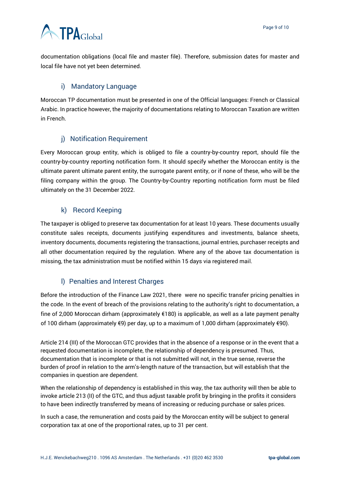## **ATPA**Global

documentation obligations (local file and master file). Therefore, submission dates for master and local file have not yet been determined.

## i) Mandatory Language

<span id="page-8-0"></span>Moroccan TP documentation must be presented in one of the Official languages: French or Classical Arabic. In practice however, the majority of documentations relating to Moroccan Taxation are written in French.

## j) Notification Requirement

<span id="page-8-1"></span>Every Moroccan group entity, which is obliged to file a country-by-country report, should file the country-by-country reporting notification form. It should specify whether the Moroccan entity is the ultimate parent ultimate parent entity, the surrogate parent entity, or if none of these, who will be the filing company within the group. The Country-by-Country reporting notification form must be filed ultimately on the 31 December 2022.

## k) Record Keeping

<span id="page-8-2"></span>The taxpayer is obliged to preserve tax documentation for at least 10 years. These documents usually constitute sales receipts, documents justifying expenditures and investments, balance sheets, inventory documents, documents registering the transactions, journal entries, purchaser receipts and all other documentation required by the regulation. Where any of the above tax documentation is missing, the tax administration must be notified within 15 days via registered mail.

### l) Penalties and Interest Charges

<span id="page-8-3"></span>Before the introduction of the Finance Law 2021, there were no specific transfer pricing penalties in the code. In the event of breach of the provisions relating to the authority's right to documentation, a fine of 2,000 Moroccan dirham (approximately €180) is applicable, as well as a late payment penalty of 100 dirham (approximately €9) per day, up to a maximum of 1,000 dirham (approximately €90).

Article 214 (III) of the Moroccan GTC provides that in the absence of a response or in the event that a requested documentation is incomplete, the relationship of dependency is presumed. Thus, documentation that is incomplete or that is not submitted will not, in the true sense, reverse the burden of proof in relation to the arm's-length nature of the transaction, but will establish that the companies in question are dependent.

When the relationship of dependency is established in this way, the tax authority will then be able to invoke article 213 (II) of the GTC, and thus adjust taxable profit by bringing in the profits it considers to have been indirectly transferred by means of increasing or reducing purchase or sales prices.

In such a case, the remuneration and costs paid by the Moroccan entity will be subject to general corporation tax at one of the proportional rates, up to 31 per cent.